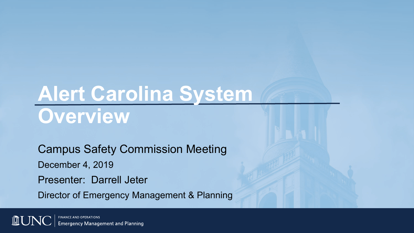# **Alert Carolina System Overview**

Campus Safety Commission Meeting

December 4, 2019

Presenter: Darrell Jeter

Director of Emergency Management & Planning

**FINANCE AND OPERATIONS AU Emergency Management and Planning**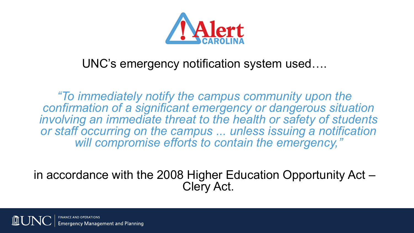

#### UNC's emergency notification system used….

*"To immediately notify the campus community upon the confirmation of a significant emergency or dangerous situation involving an immediate threat to the health or safety of students or staff occurring on the campus ... unless issuing a notification will compromise efforts to contain the emergency,"* 

in accordance with the 2008 Higher Education Opportunity Act – Clery Act.

aency Management and Planning<sup>.</sup>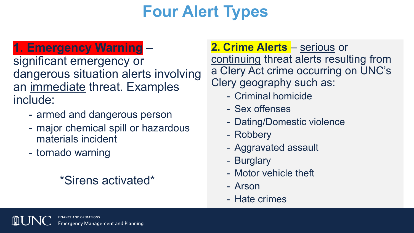# **Four Alert Types**

#### **1. Emergency Warning –**

significant emergency or dangerous situation alerts involving an immediate threat. Examples include:

- armed and dangerous person
- major chemical spill or hazardous materials incident
- tornado warning

#### \*Sirens activated\*

**2. Crime Alerts** – serious or continuing threat alerts resulting from a Clery Act crime occurring on UNC's Clery geography such as:

- Criminal homicide
- Sex offenses
- Dating/Domestic violence
- Robbery
- Aggravated assault
- Burglary
- Motor vehicle theft
- Arson
- Hate crimes

ergency Management and Planning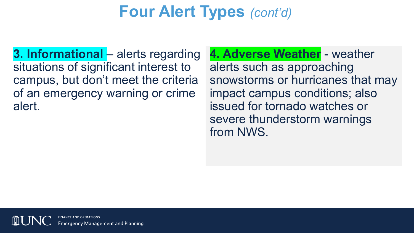## **Four Alert Types** *(cont'd)*

**3. Informational** – alerts regarding situations of significant interest to campus, but don't meet the criteria of an emergency warning or crime alert.

**4. Adverse Weather** - weather alerts such as approaching snowstorms or hurricanes that may impact campus conditions; also issued for tornado watches or severe thunderstorm warnings from NWS.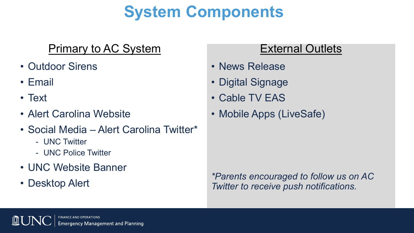# **System Components**

#### Primary to AC System

- Outdoor Sirens
- Email
- Text
- Alert Carolina Website
- Social Media Alert Carolina Twitter\*
	- UNC Twitter
	- UNC Police Twitter
- UNC Website Banner
- Desktop Alert

#### External Outlets

- News Release
- Digital Signage
- Cable TV EAS
- Mobile Apps (LiveSafe)

*\*Parents encouraged to follow us on AC Twitter to receive push notifications.*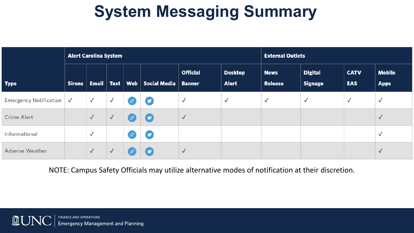# **System Messaging Summary**

|                                  | <b>Alert Carolina System</b> |                    |              |                  |                     |                                  |                                | <b>External Outlets</b> |                                  |                           |                              |
|----------------------------------|------------------------------|--------------------|--------------|------------------|---------------------|----------------------------------|--------------------------------|-------------------------|----------------------------------|---------------------------|------------------------------|
| <b>Type</b>                      | <b>Sirens</b>                | Email   Text   Web |              |                  | <b>Social Media</b> | <b>Official</b><br><b>Banner</b> | <b>Desktop</b><br><b>Alert</b> | <b>News</b><br>Release  | <b>Digital</b><br><b>Signage</b> | <b>CATV</b><br><b>EAS</b> | <b>Mobile</b><br><b>Apps</b> |
| Emergency Notification $\sqrt{}$ |                              | $\checkmark$       | $\checkmark$ | $\mathcal{C}$    | Ø                   | $\checkmark$                     | $\checkmark$                   | $\checkmark$            | $\checkmark$                     | $\checkmark$              | $\checkmark$                 |
| Crime Alert                      |                              | $\checkmark$       | $\checkmark$ | $\mathcal{C}$    | $\bullet$           | $\checkmark$                     |                                |                         |                                  |                           | $\checkmark$                 |
| Informational                    |                              | $\checkmark$       |              | $\overline{c^2}$ | Ø                   |                                  |                                |                         |                                  |                           | $\checkmark$                 |
| Adverse Weather                  |                              | $\checkmark$       | $\checkmark$ | $\mathcal{C}$    | σ                   | $\checkmark$                     |                                |                         |                                  |                           | $\checkmark$                 |

NOTE: Campus Safety Officials may utilize alternative modes of notification at their discretion.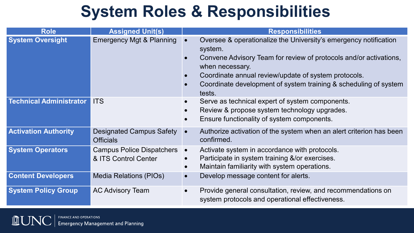### **System Roles & Responsibilities**

| <b>Role</b>                    | <b>Assigned Unit(s)</b>                                  | <b>Responsibilities</b>                                                                                                                                                                                                                                                                                   |  |  |  |  |  |
|--------------------------------|----------------------------------------------------------|-----------------------------------------------------------------------------------------------------------------------------------------------------------------------------------------------------------------------------------------------------------------------------------------------------------|--|--|--|--|--|
| <b>System Oversight</b>        | <b>Emergency Mgt &amp; Planning</b>                      | Oversee & operationalize the University's emergency notification<br>system.<br>Convene Advisory Team for review of protocols and/or activations,<br>when necessary.<br>Coordinate annual review/update of system protocols.<br>Coordinate development of system training & scheduling of system<br>tests. |  |  |  |  |  |
| <b>Technical Administrator</b> | <b>ITS</b>                                               | Serve as technical expert of system components.<br>$\bullet$<br>Review & propose system technology upgrades.<br>Ensure functionality of system components.                                                                                                                                                |  |  |  |  |  |
| <b>Activation Authority</b>    | <b>Designated Campus Safety</b><br><b>Officials</b>      | Authorize activation of the system when an alert criterion has been<br>$\bullet$<br>confirmed.                                                                                                                                                                                                            |  |  |  |  |  |
| <b>System Operators</b>        | <b>Campus Police Dispatchers</b><br>& ITS Control Center | Activate system in accordance with protocols.<br>$\bullet$<br>Participate in system training &/or exercises.<br>$\bullet$<br>Maintain familiarity with system operations.                                                                                                                                 |  |  |  |  |  |
| <b>Content Developers</b>      | Media Relations (PIOs)                                   | Develop message content for alerts.                                                                                                                                                                                                                                                                       |  |  |  |  |  |
| <b>System Policy Group</b>     | <b>AC Advisory Team</b>                                  | Provide general consultation, review, and recommendations on<br>$\bullet$<br>system protocols and operational effectiveness.                                                                                                                                                                              |  |  |  |  |  |

**AUN FINANCE AND OPERATIONS Emergency Management and Planning**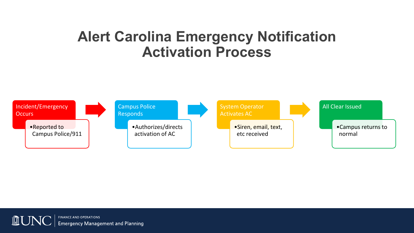#### **Alert Carolina Emergency Notification Activation Process**



**FINANCE AND OPERATIONS**  $\blacksquare$ **Emergency Management and Planning**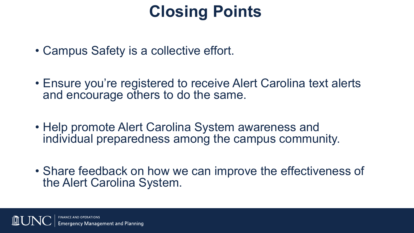### **Closing Points**

- Campus Safety is a collective effort.
- Ensure you're registered to receive Alert Carolina text alerts and encourage others to do the same.
- Help promote Alert Carolina System awareness and individual preparedness among the campus community.
- Share feedback on how we can improve the effectiveness of the Alert Carolina System.

**Management and Planning**